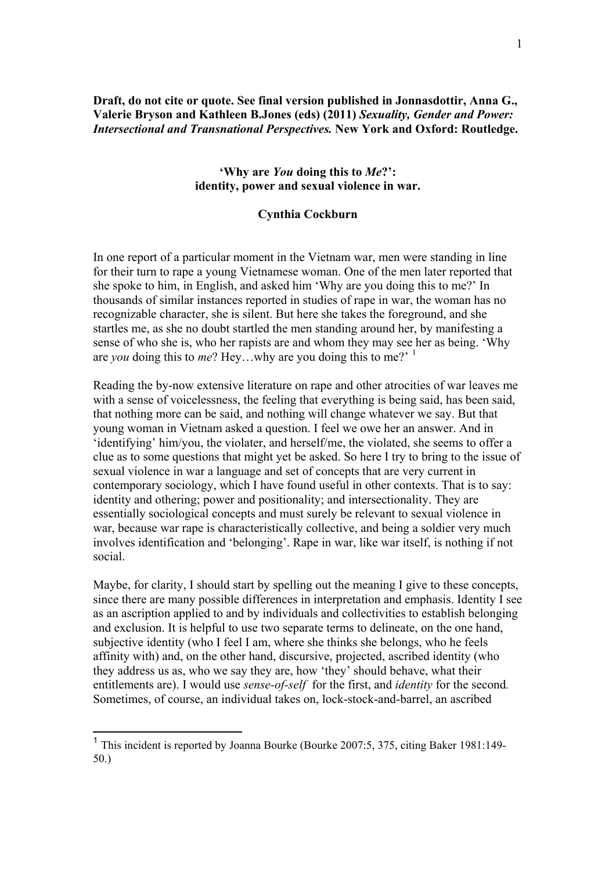**Draft, do not cite or quote. See final version published in Jonnasdottir, Anna G., Valerie Bryson and Kathleen B.Jones (eds) (2011)** *Sexuality, Gender and Power: Intersectional and Transnational Perspectives.* **New York and Oxford: Routledge.** 

# **'Why are** *You* **doing this to** *Me***?': identity, power and sexual violence in war.**

## **Cynthia Cockburn**

In one report of a particular moment in the Vietnam war, men were standing in line for their turn to rape a young Vietnamese woman. One of the men later reported that she spoke to him, in English, and asked him 'Why are you doing this to me?' In thousands of similar instances reported in studies of rape in war, the woman has no recognizable character, she is silent. But here she takes the foreground, and she startles me, as she no doubt startled the men standing around her, by manifesting a sense of who she is, who her rapists are and whom they may see her as being. 'Why are *you* doing this to *me*? Hey…why are you doing this to me?' <sup>1</sup>

Reading the by-now extensive literature on rape and other atrocities of war leaves me with a sense of voicelessness, the feeling that everything is bein[g](#page-0-0) said, has been said, that nothing more can be said, and nothing will change whatever we say. But that young woman in Vietnam asked a question. I feel we owe her an answer. And in 'identifying' him/you, the violater, and herself/me, the violated, she seems to offer a clue as to some questions that might yet be asked. So here I try to bring to the issue of sexual violence in war a language and set of concepts that are very current in contemporary sociology, which I have found useful in other contexts. That is to say: identity and othering; power and positionality; and intersectionality. They are essentially sociological concepts and must surely be relevant to sexual violence in war, because war rape is characteristically collective, and being a soldier very much involves identification and 'belonging'. Rape in war, like war itself, is nothing if not social.

Maybe, for clarity, I should start by spelling out the meaning I give to these concepts, since there are many possible differences in interpretation and emphasis. Identity I see as an ascription applied to and by individuals and collectivities to establish belonging and exclusion. It is helpful to use two separate terms to delineate, on the one hand, subjective identity (who I feel I am, where she thinks she belongs, who he feels affinity with) and, on the other hand, discursive, projected, ascribed identity (who they address us as, who we say they are, how 'they' should behave, what their entitlements are). I would use *sense-of-self* for the first, and *identity* for the second*.* Sometimes, of course, an individual takes on, lock-stock-and-barrel, an ascribed

<span id="page-0-0"></span><sup>&</sup>lt;sup>1</sup> This incident is reported by Joanna Bourke (Bourke 2007:5, 375, citing Baker 1981:149-50.)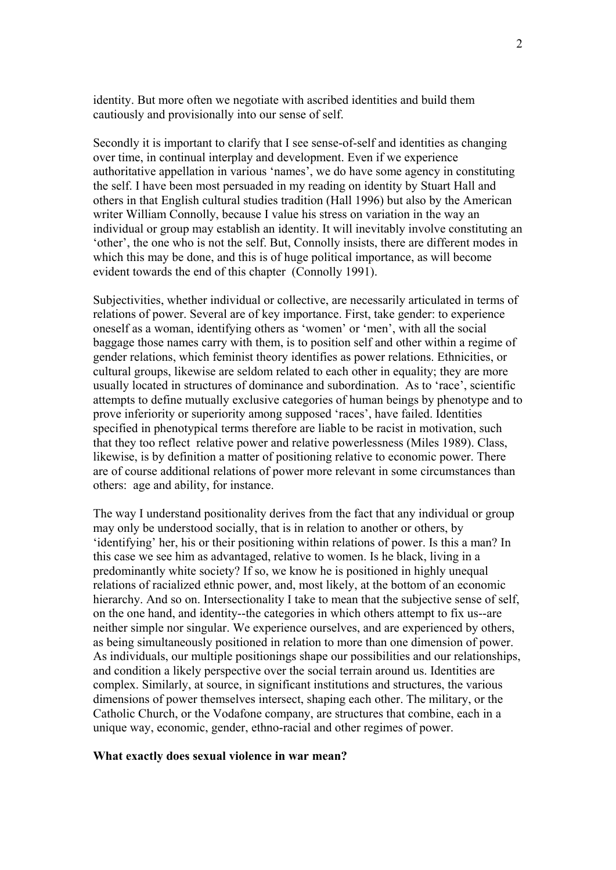identity. But more often we negotiate with ascribed identities and build them cautiously and provisionally into our sense of self.

Secondly it is important to clarify that I see sense-of-self and identities as changing over time, in continual interplay and development. Even if we experience authoritative appellation in various 'names', we do have some agency in constituting the self. I have been most persuaded in my reading on identity by Stuart Hall and others in that English cultural studies tradition (Hall 1996) but also by the American writer William Connolly, because I value his stress on variation in the way an individual or group may establish an identity. It will inevitably involve constituting an 'other', the one who is not the self. But, Connolly insists, there are different modes in which this may be done, and this is of huge political importance, as will become evident towards the end of this chapter (Connolly 1991).

Subjectivities, whether individual or collective, are necessarily articulated in terms of relations of power. Several are of key importance. First, take gender: to experience oneself as a woman, identifying others as 'women' or 'men', with all the social baggage those names carry with them, is to position self and other within a regime of gender relations, which feminist theory identifies as power relations. Ethnicities, or cultural groups, likewise are seldom related to each other in equality; they are more usually located in structures of dominance and subordination. As to 'race', scientific attempts to define mutually exclusive categories of human beings by phenotype and to prove inferiority or superiority among supposed 'races', have failed. Identities specified in phenotypical terms therefore are liable to be racist in motivation, such that they too reflect relative power and relative powerlessness (Miles 1989). Class, likewise, is by definition a matter of positioning relative to economic power. There are of course additional relations of power more relevant in some circumstances than others: age and ability, for instance.

The way I understand positionality derives from the fact that any individual or group may only be understood socially, that is in relation to another or others, by 'identifying' her, his or their positioning within relations of power. Is this a man? In this case we see him as advantaged, relative to women. Is he black, living in a predominantly white society? If so, we know he is positioned in highly unequal relations of racialized ethnic power, and, most likely, at the bottom of an economic hierarchy. And so on. Intersectionality I take to mean that the subjective sense of self, on the one hand, and identity--the categories in which others attempt to fix us--are neither simple nor singular. We experience ourselves, and are experienced by others, as being simultaneously positioned in relation to more than one dimension of power. As individuals, our multiple positionings shape our possibilities and our relationships, and condition a likely perspective over the social terrain around us. Identities are complex. Similarly, at source, in significant institutions and structures, the various dimensions of power themselves intersect, shaping each other. The military, or the Catholic Church, or the Vodafone company, are structures that combine, each in a unique way, economic, gender, ethno-racial and other regimes of power.

## **What exactly does sexual violence in war mean?**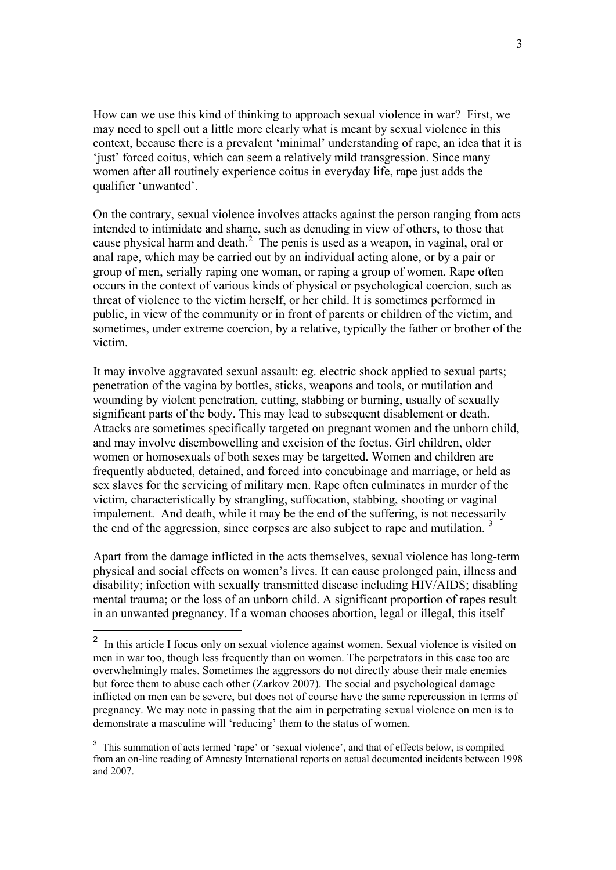How can we use this kind of thinking to approach sexual violence in war? First, we may need to spell out a little more clearly what is meant by sexual violence in this context, because there is a prevalent 'minimal' understanding of rape, an idea that it is 'just' forced coitus, which can seem a relatively mild transgression. Since many women after all routinely experience coitus in everyday life, rape just adds the qualifier 'unwanted'.

On the contrary, sexual violence involves attacks against the person ranging from acts intended to intimidate and shame, such as denuding in view of others, to those that cause physical harm and death.<sup>2</sup> The penis is used as a weapon, in vaginal, oral or anal rape, which may be carried out by an individual acting alone, or by a pair or group of men, serially raping one woman, or raping a group of women. Rape often occurs in the context of variou[s](#page-2-0) kinds of physical or psychological coercion, such as threat of violence to the victim herself, or her child. It is sometimes performed in public, in view of the community or in front of parents or children of the victim, and sometimes, under extreme coercion, by a relative, typically the father or brother of the victim.

It may involve aggravated sexual assault: eg. electric shock applied to sexual parts; penetration of the vagina by bottles, sticks, weapons and tools, or mutilation and wounding by violent penetration, cutting, stabbing or burning, usually of sexually significant parts of the body. This may lead to subsequent disablement or death. Attacks are sometimes specifically targeted on pregnant women and the unborn child, and may involve disembowelling and excision of the foetus. Girl children, older women or homosexuals of both sexes may be targetted. Women and children are frequently abducted, detained, and forced into concubinage and marriage, or held as sex slaves for the servicing of military men. Rape often culminates in murder of the victim, characteristically by strangling, suffocation, stabbing, shooting or vaginal impalement. And death, while it may be the end of the suffering, is not necessarily the end of the aggression, since corpses are also subject to rape and mutilation.  $\beta$ 

Apart from the damage inflicted in the acts themselves, sexual violence has long-term physical and social effects on women's lives. It can cause prolonged pain, illne[ss](#page-2-1) and disability; infection with sexually transmitted disease including HIV/AIDS; disabling mental trauma; or the loss of an unborn child. A significant proportion of rapes result in an unwanted pregnancy. If a woman chooses abortion, legal or illegal, this itself

<sup>&</sup>lt;sup>2</sup> In this article I focus only on sexual violence against women. Sexual violence is visited on men in war too, though less frequently than on women. The perpetrators in this case too are overwhelmingly males. Sometimes the aggressors do not directly abuse their male enemies but force them to abuse each other (Zarkov 2007). The social and psychological damage inflicted on men can be severe, but does not of course have the same repercussion in terms of pregnancy. We may note in passing that the aim in perpetrating sexual violence on men is to demonstrate a masculine will 'reducing' them to the status of women.

<span id="page-2-1"></span><span id="page-2-0"></span><sup>&</sup>lt;sup>3</sup> This summation of acts termed 'rape' or 'sexual violence', and that of effects below, is compiled from an on-line reading of Amnesty International reports on actual documented incidents between 1998 and 2007.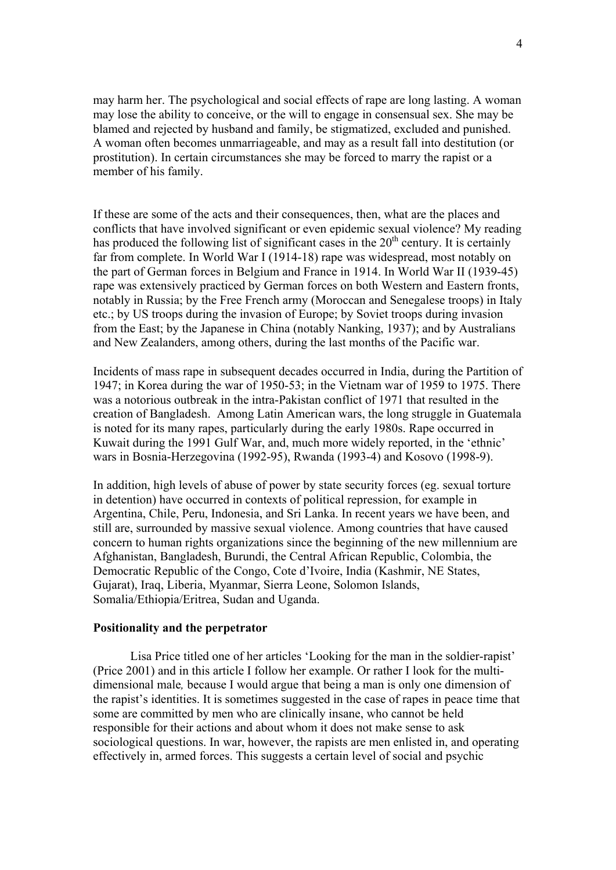may harm her. The psychological and social effects of rape are long lasting. A woman may lose the ability to conceive, or the will to engage in consensual sex. She may be blamed and rejected by husband and family, be stigmatized, excluded and punished. A woman often becomes unmarriageable, and may as a result fall into destitution (or prostitution). In certain circumstances she may be forced to marry the rapist or a member of his family.

If these are some of the acts and their consequences, then, what are the places and conflicts that have involved significant or even epidemic sexual violence? My reading has produced the following list of significant cases in the  $20<sup>th</sup>$  century. It is certainly far from complete. In World War I (1914-18) rape was widespread, most notably on the part of German forces in Belgium and France in 1914. In World War II (1939-45) rape was extensively practiced by German forces on both Western and Eastern fronts, notably in Russia; by the Free French army (Moroccan and Senegalese troops) in Italy etc.; by US troops during the invasion of Europe; by Soviet troops during invasion from the East; by the Japanese in China (notably Nanking, 1937); and by Australians and New Zealanders, among others, during the last months of the Pacific war.

Incidents of mass rape in subsequent decades occurred in India, during the Partition of 1947; in Korea during the war of 1950-53; in the Vietnam war of 1959 to 1975. There was a notorious outbreak in the intra-Pakistan conflict of 1971 that resulted in the creation of Bangladesh. Among Latin American wars, the long struggle in Guatemala is noted for its many rapes, particularly during the early 1980s. Rape occurred in Kuwait during the 1991 Gulf War, and, much more widely reported, in the 'ethnic' wars in Bosnia-Herzegovina (1992-95), Rwanda (1993-4) and Kosovo (1998-9).

In addition, high levels of abuse of power by state security forces (eg. sexual torture in detention) have occurred in contexts of political repression, for example in Argentina, Chile, Peru, Indonesia, and Sri Lanka. In recent years we have been, and still are, surrounded by massive sexual violence. Among countries that have caused concern to human rights organizations since the beginning of the new millennium are Afghanistan, Bangladesh, Burundi, the Central African Republic, Colombia, the Democratic Republic of the Congo, Cote d'Ivoire, India (Kashmir, NE States, Gujarat), Iraq, Liberia, Myanmar, Sierra Leone, Solomon Islands, Somalia/Ethiopia/Eritrea, Sudan and Uganda.

#### **Positionality and the perpetrator**

Lisa Price titled one of her articles 'Looking for the man in the soldier-rapist' (Price 2001) and in this article I follow her example. Or rather I look for the multidimensional male*,* because I would argue that being a man is only one dimension of the rapist's identities. It is sometimes suggested in the case of rapes in peace time that some are committed by men who are clinically insane, who cannot be held responsible for their actions and about whom it does not make sense to ask sociological questions. In war, however, the rapists are men enlisted in, and operating effectively in, armed forces. This suggests a certain level of social and psychic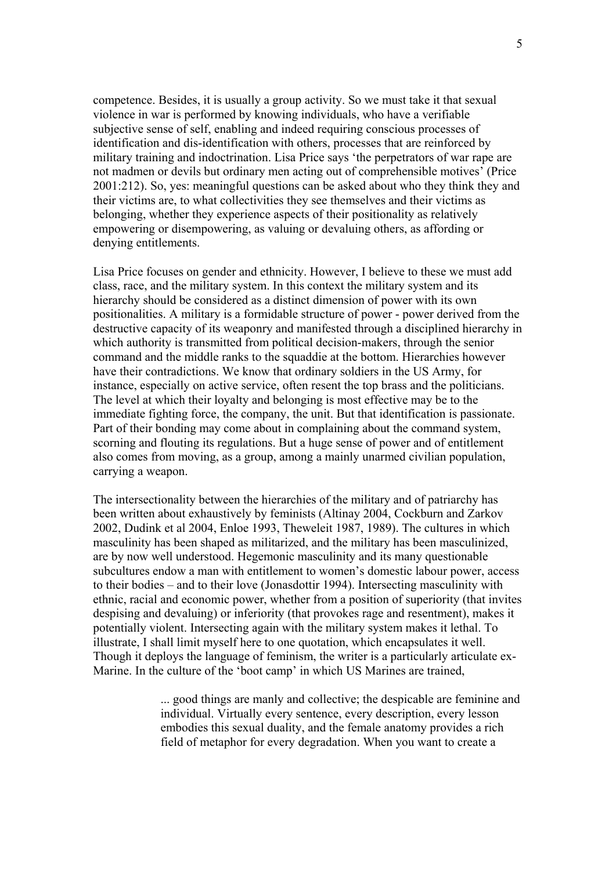competence. Besides, it is usually a group activity. So we must take it that sexual violence in war is performed by knowing individuals, who have a verifiable subjective sense of self, enabling and indeed requiring conscious processes of identification and dis-identification with others, processes that are reinforced by military training and indoctrination. Lisa Price says 'the perpetrators of war rape are not madmen or devils but ordinary men acting out of comprehensible motives' (Price 2001:212). So, yes: meaningful questions can be asked about who they think they and their victims are, to what collectivities they see themselves and their victims as belonging, whether they experience aspects of their positionality as relatively empowering or disempowering, as valuing or devaluing others, as affording or denying entitlements.

Lisa Price focuses on gender and ethnicity. However, I believe to these we must add class, race, and the military system. In this context the military system and its hierarchy should be considered as a distinct dimension of power with its own positionalities. A military is a formidable structure of power - power derived from the destructive capacity of its weaponry and manifested through a disciplined hierarchy in which authority is transmitted from political decision-makers, through the senior command and the middle ranks to the squaddie at the bottom. Hierarchies however have their contradictions. We know that ordinary soldiers in the US Army, for instance, especially on active service, often resent the top brass and the politicians. The level at which their loyalty and belonging is most effective may be to the immediate fighting force, the company, the unit. But that identification is passionate. Part of their bonding may come about in complaining about the command system, scorning and flouting its regulations. But a huge sense of power and of entitlement also comes from moving, as a group, among a mainly unarmed civilian population, carrying a weapon.

The intersectionality between the hierarchies of the military and of patriarchy has been written about exhaustively by feminists (Altinay 2004, Cockburn and Zarkov 2002, Dudink et al 2004, Enloe 1993, Theweleit 1987, 1989). The cultures in which masculinity has been shaped as militarized, and the military has been masculinized, are by now well understood. Hegemonic masculinity and its many questionable subcultures endow a man with entitlement to women's domestic labour power, access to their bodies – and to their love (Jonasdottir 1994). Intersecting masculinity with ethnic, racial and economic power, whether from a position of superiority (that invites despising and devaluing) or inferiority (that provokes rage and resentment), makes it potentially violent. Intersecting again with the military system makes it lethal. To illustrate, I shall limit myself here to one quotation, which encapsulates it well. Though it deploys the language of feminism, the writer is a particularly articulate ex-Marine. In the culture of the 'boot camp' in which US Marines are trained,

> ... good things are manly and collective; the despicable are feminine and individual. Virtually every sentence, every description, every lesson embodies this sexual duality, and the female anatomy provides a rich field of metaphor for every degradation. When you want to create a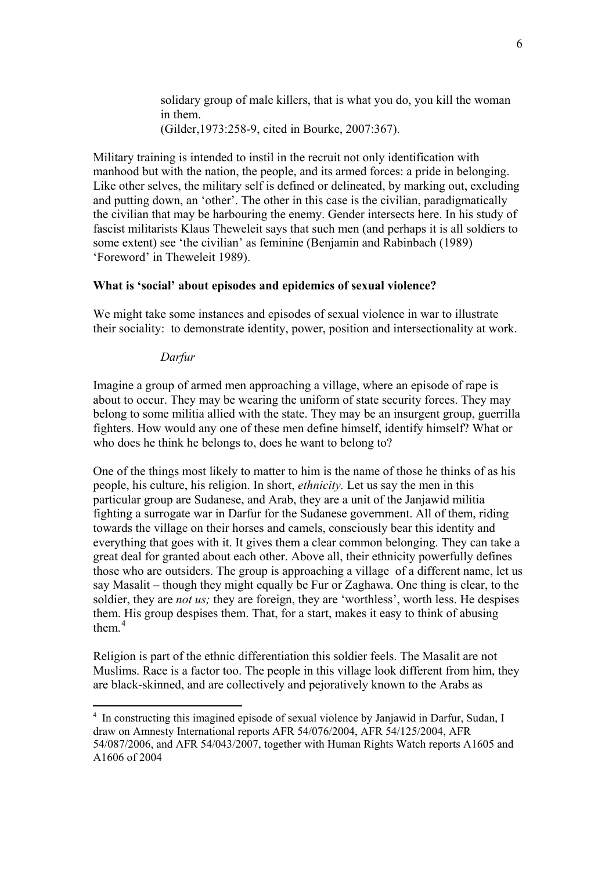solidary group of male killers, that is what you do, you kill the woman in them. (Gilder,1973:258-9, cited in Bourke, 2007:367).

Military training is intended to instil in the recruit not only identification with manhood but with the nation, the people, and its armed forces: a pride in belonging. Like other selves, the military self is defined or delineated, by marking out, excluding and putting down, an 'other'. The other in this case is the civilian, paradigmatically the civilian that may be harbouring the enemy. Gender intersects here. In his study of fascist militarists Klaus Theweleit says that such men (and perhaps it is all soldiers to some extent) see 'the civilian' as feminine (Benjamin and Rabinbach (1989) 'Foreword' in Theweleit 1989).

## **What is 'social' about episodes and epidemics of sexual violence?**

We might take some instances and episodes of sexual violence in war to illustrate their sociality: to demonstrate identity, power, position and intersectionality at work.

## *Darfur*

 $\overline{a}$ 

Imagine a group of armed men approaching a village, where an episode of rape is about to occur. They may be wearing the uniform of state security forces. They may belong to some militia allied with the state. They may be an insurgent group, guerrilla fighters. How would any one of these men define himself, identify himself? What or who does he think he belongs to, does he want to belong to?

One of the things most likely to matter to him is the name of those he thinks of as his people, his culture, his religion. In short, *ethnicity.* Let us say the men in this particular group are Sudanese, and Arab, they are a unit of the Janjawid militia fighting a surrogate war in Darfur for the Sudanese government. All of them, riding towards the village on their horses and camels, consciously bear this identity and everything that goes with it. It gives them a clear common belonging. They can take a great deal for granted about each other. Above all, their ethnicity powerfully defines those who are outsiders. The group is approaching a village of a different name, let us say Masalit – though they might equally be Fur or Zaghawa. One thing is clear, to the soldier, they are *not us;* they are foreign, they are 'worthless', worth less. He despises them. His group despises them. That, for a start, makes it easy to think of abusing them. $4$ 

Religion is part of the ethnic differentiation this soldier feels. The Masalit are not Musl[im](#page-5-0)s. Race is a factor too. The people in this village look different from him, they are black-skinned, and are collectively and pejoratively known to the Arabs as

<span id="page-5-0"></span><sup>4</sup> In constructing this imagined episode of sexual violence by Janjawid in Darfur, Sudan, I draw on Amnesty International reports AFR 54/076/2004, AFR 54/125/2004, AFR 54/087/2006, and AFR 54/043/2007, together with Human Rights Watch reports A1605 and A1606 of 2004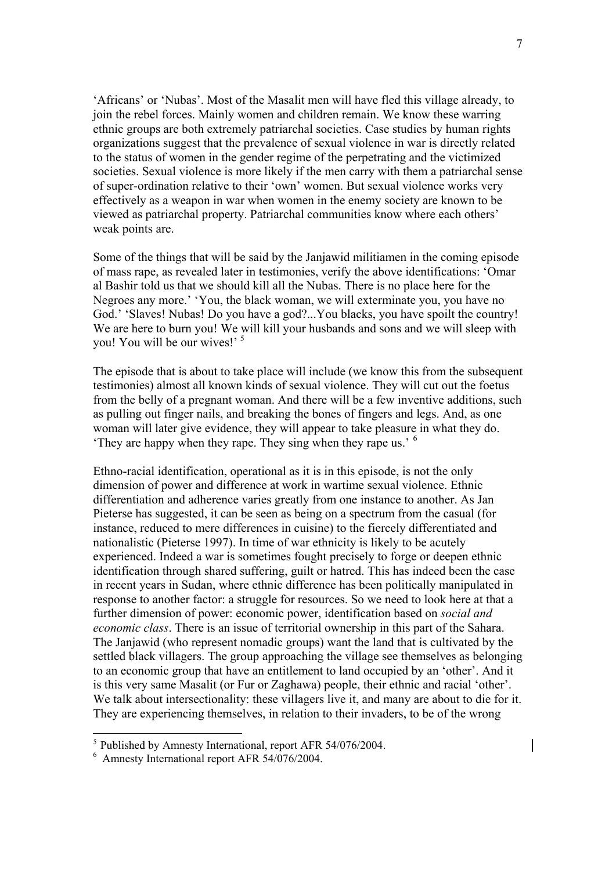'Africans' or 'Nubas'. Most of the Masalit men will have fled this village already, to join the rebel forces. Mainly women and children remain. We know these warring ethnic groups are both extremely patriarchal societies. Case studies by human rights organizations suggest that the prevalence of sexual violence in war is directly related to the status of women in the gender regime of the perpetrating and the victimized societies. Sexual violence is more likely if the men carry with them a patriarchal sense of super-ordination relative to their 'own' women. But sexual violence works very effectively as a weapon in war when women in the enemy society are known to be viewed as patriarchal property. Patriarchal communities know where each others' weak points are.

Some of the things that will be said by the Janjawid militiamen in the coming episode of mass rape, as revealed later in testimonies, verify the above identifications: 'Omar al Bashir told us that we should kill all the Nubas. There is no place here for the Negroes any more.' 'You, the black woman, we will exterminate you, you have no God.' 'Slaves! Nubas! Do you have a god?...You blacks, you have spoilt the country! We are here to burn you! We will kill your husbands and sons and we will sleep with you! You will be our wives!' <sup>5</sup>

The episode that is about to take place will include (we know this from the subsequent testimonies) almost all know[n](#page-6-0) kinds of sexual violence. They will cut out the foetus from the belly of a pregnant woman. And there will be a few inventive additions, such as pulling out finger nails, and breaking the bones of fingers and legs. And, as one woman will later give evidence, they will appear to take pleasure in what they do. 'They are happy when they rape. They sing when they rape us.' <sup>6</sup>

Ethno-racial identification, operational as it is in this episode, is not the only dimension of power and difference at work in wartime sexual vi[o](#page-6-1)lence. Ethnic differentiation and adherence varies greatly from one instance to another. As Jan Pieterse has suggested, it can be seen as being on a spectrum from the casual (for instance, reduced to mere differences in cuisine) to the fiercely differentiated and nationalistic (Pieterse 1997). In time of war ethnicity is likely to be acutely experienced. Indeed a war is sometimes fought precisely to forge or deepen ethnic identification through shared suffering, guilt or hatred. This has indeed been the case in recent years in Sudan, where ethnic difference has been politically manipulated in response to another factor: a struggle for resources. So we need to look here at that a further dimension of power: economic power, identification based on *social and economic class*. There is an issue of territorial ownership in this part of the Sahara. The Janjawid (who represent nomadic groups) want the land that is cultivated by the settled black villagers. The group approaching the village see themselves as belonging to an economic group that have an entitlement to land occupied by an 'other'. And it is this very same Masalit (or Fur or Zaghawa) people, their ethnic and racial 'other'. We talk about intersectionality: these villagers live it, and many are about to die for it. They are experiencing themselves, in relation to their invaders, to be of the wrong

 $\overline{a}$ 

 $<sup>5</sup>$  Published by Amnesty International, report AFR 54/076/2004.</sup>

<span id="page-6-1"></span><span id="page-6-0"></span><sup>6</sup> Amnesty International report AFR 54/076/2004.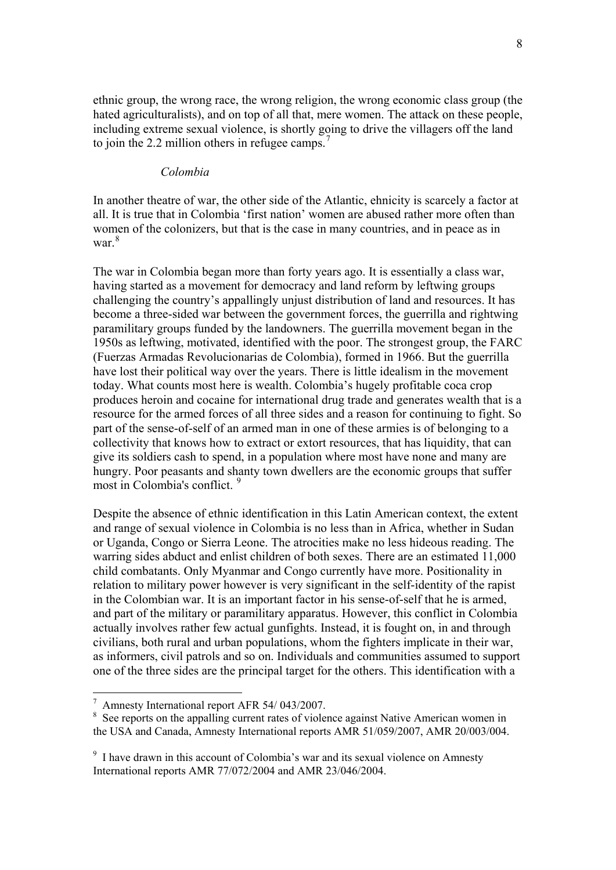ethnic group, the wrong race, the wrong religion, the wrong economic class group (the hated agriculturalists), and on top of all that, mere women. The attack on these people, including extreme sexual violence, is shortly going to drive the villagers off the land to join the 2.2 million others in refugee camps.<sup>7</sup>

## *Colombia*

In another theatre of war, the other side of the [A](#page-7-0)tlantic, ehnicity is scarcely a factor at all. It is true that in Colombia 'first nation' women are abused rather more often than women of the colonizers, but that is the case in many countries, and in peace as in war.<sup>8</sup>

The war in Colombia began more than forty years ago. It is essentially a class war, havi[n](#page-7-1)g started as a movement for democracy and land reform by leftwing groups challenging the country's appallingly unjust distribution of land and resources. It has become a three-sided war between the government forces, the guerrilla and rightwing paramilitary groups funded by the landowners. The guerrilla movement began in the 1950s as leftwing, motivated, identified with the poor. The strongest group, the FARC (Fuerzas Armadas Revolucionarias de Colombia), formed in 1966. But the guerrilla have lost their political way over the years. There is little idealism in the movement today. What counts most here is wealth. Colombia's hugely profitable coca crop produces heroin and cocaine for international drug trade and generates wealth that is a resource for the armed forces of all three sides and a reason for continuing to fight. So part of the sense-of-self of an armed man in one of these armies is of belonging to a collectivity that knows how to extract or extort resources, that has liquidity, that can give its soldiers cash to spend, in a population where most have none and many are hungry. Poor peasants and shanty town dwellers are the economic groups that suffer most in Colombia's conflict. <sup>9</sup>

Despite the absence of ethnic identification in this Latin American context, the extent and range of sexual violence [i](#page-7-2)n Colombia is no less than in Africa, whether in Sudan or Uganda, Congo or Sierra Leone. The atrocities make no less hideous reading. The warring sides abduct and enlist children of both sexes. There are an estimated 11,000 child combatants. Only Myanmar and Congo currently have more. Positionality in relation to military power however is very significant in the self-identity of the rapist in the Colombian war. It is an important factor in his sense-of-self that he is armed, and part of the military or paramilitary apparatus. However, this conflict in Colombia actually involves rather few actual gunfights. Instead, it is fought on, in and through civilians, both rural and urban populations, whom the fighters implicate in their war, as informers, civil patrols and so on. Individuals and communities assumed to support one of the three sides are the principal target for the others. This identification with a

<sup>&</sup>lt;sup>7</sup> Amnesty International report AFR 54/043/2007.

<sup>&</sup>lt;sup>8</sup> See reports on the appalling current rates of violence against Native American women in the USA and Canada, Amnesty International reports AMR 51/059/2007, AMR 20/003/004.

<span id="page-7-2"></span><span id="page-7-1"></span><span id="page-7-0"></span><sup>&</sup>lt;sup>9</sup> I have drawn in this account of Colombia's war and its sexual violence on Amnesty International reports AMR 77/072/2004 and AMR 23/046/2004.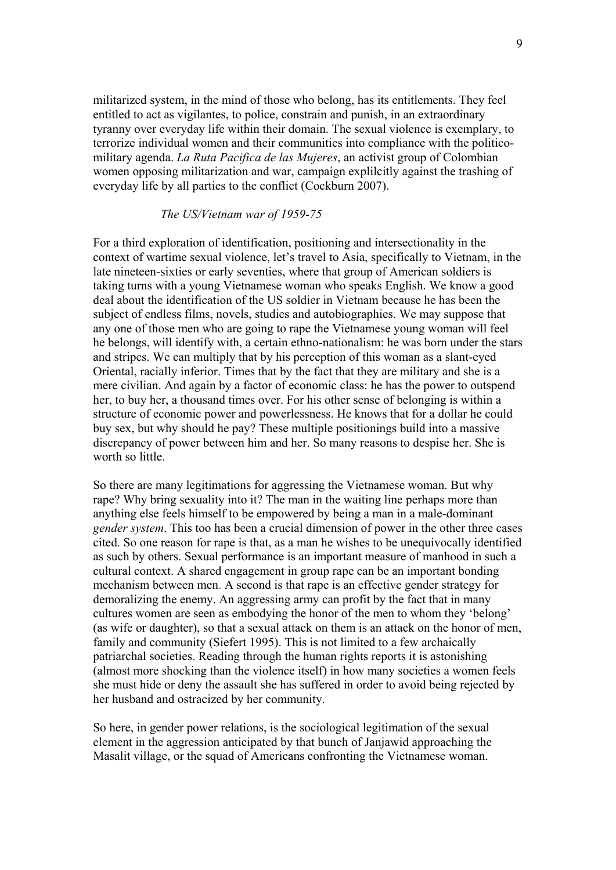militarized system, in the mind of those who belong, has its entitlements. They feel entitled to act as vigilantes, to police, constrain and punish, in an extraordinary tyranny over everyday life within their domain. The sexual violence is exemplary, to terrorize individual women and their communities into compliance with the politicomilitary agenda. *La Ruta Pacifica de las Mujeres*, an activist group of Colombian women opposing militarization and war, campaign explilcitly against the trashing of everyday life by all parties to the conflict (Cockburn 2007).

#### *The US/Vietnam war of 1959-75*

For a third exploration of identification, positioning and intersectionality in the context of wartime sexual violence, let's travel to Asia, specifically to Vietnam, in the late nineteen-sixties or early seventies, where that group of American soldiers is taking turns with a young Vietnamese woman who speaks English. We know a good deal about the identification of the US soldier in Vietnam because he has been the subject of endless films, novels, studies and autobiographies. We may suppose that any one of those men who are going to rape the Vietnamese young woman will feel he belongs, will identify with, a certain ethno-nationalism: he was born under the stars and stripes. We can multiply that by his perception of this woman as a slant-eyed Oriental, racially inferior. Times that by the fact that they are military and she is a mere civilian. And again by a factor of economic class: he has the power to outspend her, to buy her, a thousand times over. For his other sense of belonging is within a structure of economic power and powerlessness. He knows that for a dollar he could buy sex, but why should he pay? These multiple positionings build into a massive discrepancy of power between him and her. So many reasons to despise her. She is worth so little.

So there are many legitimations for aggressing the Vietnamese woman. But why rape? Why bring sexuality into it? The man in the waiting line perhaps more than anything else feels himself to be empowered by being a man in a male-dominant *gender system*. This too has been a crucial dimension of power in the other three cases cited. So one reason for rape is that, as a man he wishes to be unequivocally identified as such by others. Sexual performance is an important measure of manhood in such a cultural context. A shared engagement in group rape can be an important bonding mechanism between men. A second is that rape is an effective gender strategy for demoralizing the enemy. An aggressing army can profit by the fact that in many cultures women are seen as embodying the honor of the men to whom they 'belong' (as wife or daughter), so that a sexual attack on them is an attack on the honor of men, family and community (Siefert 1995). This is not limited to a few archaically patriarchal societies. Reading through the human rights reports it is astonishing (almost more shocking than the violence itself) in how many societies a women feels she must hide or deny the assault she has suffered in order to avoid being rejected by her husband and ostracized by her community.

So here, in gender power relations, is the sociological legitimation of the sexual element in the aggression anticipated by that bunch of Janjawid approaching the Masalit village, or the squad of Americans confronting the Vietnamese woman.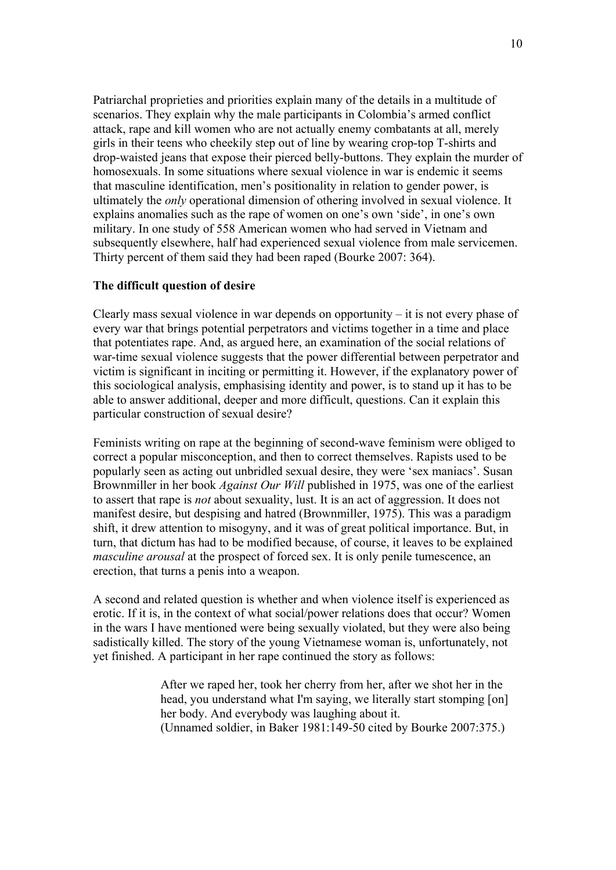Patriarchal proprieties and priorities explain many of the details in a multitude of scenarios. They explain why the male participants in Colombia's armed conflict attack, rape and kill women who are not actually enemy combatants at all, merely girls in their teens who cheekily step out of line by wearing crop-top T-shirts and drop-waisted jeans that expose their pierced belly-buttons. They explain the murder of homosexuals. In some situations where sexual violence in war is endemic it seems that masculine identification, men's positionality in relation to gender power, is ultimately the *only* operational dimension of othering involved in sexual violence. It explains anomalies such as the rape of women on one's own 'side', in one's own military. In one study of 558 American women who had served in Vietnam and subsequently elsewhere, half had experienced sexual violence from male servicemen. Thirty percent of them said they had been raped (Bourke 2007: 364).

## **The difficult question of desire**

Clearly mass sexual violence in war depends on opportunity – it is not every phase of every war that brings potential perpetrators and victims together in a time and place that potentiates rape. And, as argued here, an examination of the social relations of war-time sexual violence suggests that the power differential between perpetrator and victim is significant in inciting or permitting it. However, if the explanatory power of this sociological analysis, emphasising identity and power, is to stand up it has to be able to answer additional, deeper and more difficult, questions. Can it explain this particular construction of sexual desire?

Feminists writing on rape at the beginning of second-wave feminism were obliged to correct a popular misconception, and then to correct themselves. Rapists used to be popularly seen as acting out unbridled sexual desire, they were 'sex maniacs'. Susan Brownmiller in her book *Against Our Will* published in 1975, was one of the earliest to assert that rape is *not* about sexuality, lust. It is an act of aggression. It does not manifest desire, but despising and hatred (Brownmiller, 1975). This was a paradigm shift, it drew attention to misogyny, and it was of great political importance. But, in turn, that dictum has had to be modified because, of course, it leaves to be explained *masculine arousal* at the prospect of forced sex. It is only penile tumescence, an erection, that turns a penis into a weapon.

A second and related question is whether and when violence itself is experienced as erotic. If it is, in the context of what social/power relations does that occur? Women in the wars I have mentioned were being sexually violated, but they were also being sadistically killed. The story of the young Vietnamese woman is, unfortunately, not yet finished. A participant in her rape continued the story as follows:

> After we raped her, took her cherry from her, after we shot her in the head, you understand what I'm saying, we literally start stomping [on] her body. And everybody was laughing about it. (Unnamed soldier, in Baker 1981:149-50 cited by Bourke 2007:375.)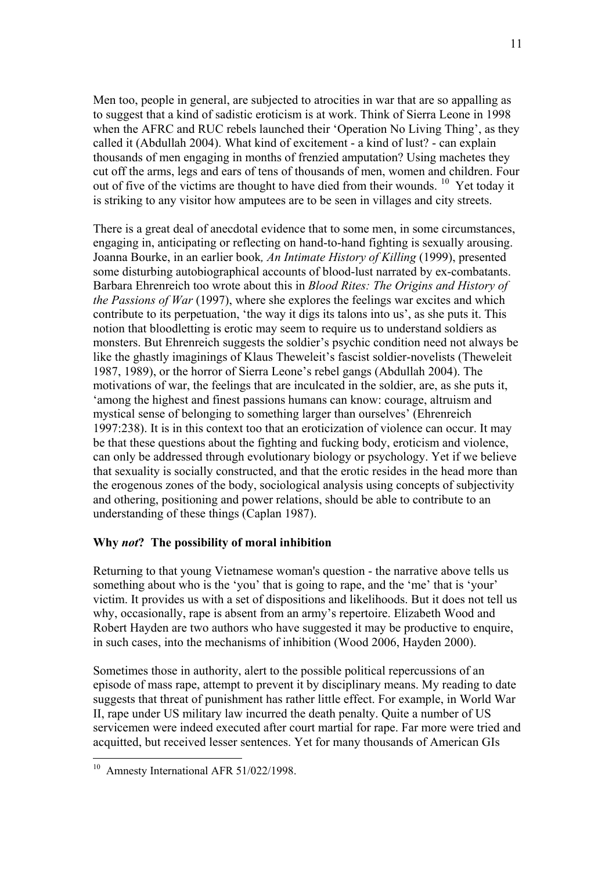Men too, people in general, are subjected to atrocities in war that are so appalling as to suggest that a kind of sadistic eroticism is at work. Think of Sierra Leone in 1998 when the AFRC and RUC rebels launched their 'Operation No Living Thing', as they called it (Abdullah 2004). What kind of excitement - a kind of lust? - can explain thousands of men engaging in months of frenzied amputation? Using machetes they cut off the arms, legs and ears of tens of thousands of men, women and children. Four out of five of the victims are thought to have died from their wounds. <sup>10</sup> Yet today it is striking to any visitor how amputees are to be seen in villages and city streets.

There is a great deal of anecdotal evidence that to some men, in some [c](#page-10-0)ircumstances, engaging in, anticipating or reflecting on hand-to-hand fighting is sexually arousing. Joanna Bourke, in an earlier book*, An Intimate History of Killing* (1999), presented some disturbing autobiographical accounts of blood-lust narrated by ex-combatants. Barbara Ehrenreich too wrote about this in *Blood Rites: The Origins and History of the Passions of War* (1997), where she explores the feelings war excites and which contribute to its perpetuation, 'the way it digs its talons into us', as she puts it. This notion that bloodletting is erotic may seem to require us to understand soldiers as monsters. But Ehrenreich suggests the soldier's psychic condition need not always be like the ghastly imaginings of Klaus Theweleit's fascist soldier-novelists (Theweleit 1987, 1989), or the horror of Sierra Leone's rebel gangs (Abdullah 2004). The motivations of war, the feelings that are inculcated in the soldier, are, as she puts it, 'among the highest and finest passions humans can know: courage, altruism and mystical sense of belonging to something larger than ourselves' (Ehrenreich 1997:238). It is in this context too that an eroticization of violence can occur. It may be that these questions about the fighting and fucking body, eroticism and violence, can only be addressed through evolutionary biology or psychology. Yet if we believe that sexuality is socially constructed, and that the erotic resides in the head more than the erogenous zones of the body, sociological analysis using concepts of subjectivity and othering, positioning and power relations, should be able to contribute to an understanding of these things (Caplan 1987).

# **Why** *not***? The possibility of moral inhibition**

Returning to that young Vietnamese woman's question - the narrative above tells us something about who is the 'you' that is going to rape, and the 'me' that is 'your' victim. It provides us with a set of dispositions and likelihoods. But it does not tell us why, occasionally, rape is absent from an army's repertoire. Elizabeth Wood and Robert Hayden are two authors who have suggested it may be productive to enquire, in such cases, into the mechanisms of inhibition (Wood 2006, Hayden 2000).

Sometimes those in authority, alert to the possible political repercussions of an episode of mass rape, attempt to prevent it by disciplinary means. My reading to date suggests that threat of punishment has rather little effect. For example, in World War II, rape under US military law incurred the death penalty. Quite a number of US servicemen were indeed executed after court martial for rape. Far more were tried and acquitted, but received lesser sentences. Yet for many thousands of American GIs

 $\overline{a}$ 

<span id="page-10-0"></span><sup>&</sup>lt;sup>10</sup> Amnesty International AFR 51/022/1998.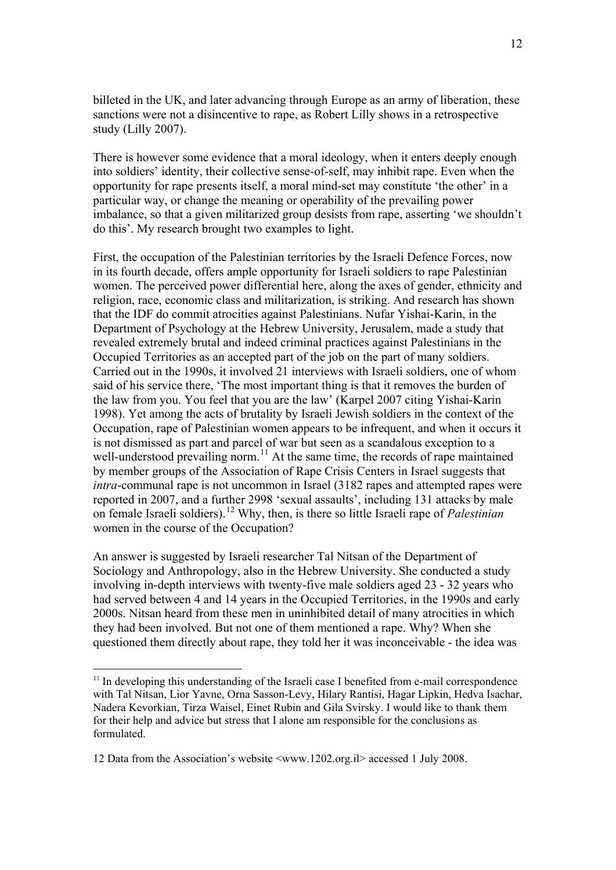billeted in the UK, and later advancing through Europe as an army of liberation, these sanctions were not a disincentive to rape, as Robert Lilly shows in a retrospective study (Lilly 2007).

There is however some evidence that a moral ideology, when it enters deeply enough into soldiers' identity, their collective sense-of-self, may inhibit rape. Even when the opportunity for rape presents itself, a moral mind-set may constitute 'the other' in a particular way, or change the meaning or operability of the prevailing power imbalance, so that a given militarized group desists from rape, asserting 'we shouldn't do this'. My research brought two examples to light.

First, the occupation of the Palestinian territories by the Israeli Defence Forces, now in its fourth decade, offers ample opportunity for Israeli soldiers to rape Palestinian women. The perceived power differential here, along the axes of gender, ethnicity and religion, race, economic class and militarization, is striking. And research has shown that the IDF do commit atrocities against Palestinians. Nufar Yishai-Karin, in the Department of Psychology at the Hebrew University, Jerusalem, made a study that revealed extremely brutal and indeed criminal practices against Palestinians in the Occupied Territories as an accepted part of the job on the part of many soldiers. Carried out in the 1990s, it involved 21 interviews with Israeli soldiers, one of whom said of his service there, 'The most important thing is that it removes the burden of the law from you. You feel that you are the law' (Karpel 2007 citing Yishai-Karin 1998). Yet among the acts of brutality by Israeli Jewish soldiers in the context of the Occupation, rape of Palestinian women appears to be infrequent, and when it occurs it is not dismissed as part and parcel of war but seen as a scandalous exception to a well-understood prevailing norm.<sup>11</sup> At the same time, the records of rape maintained by member groups of the Association of Rape Crisis Centers in Israel suggests that *intra*-communal rape is not uncommon in Israel (3182 rapes and attempted rapes were reported in 2007, and a further 29[9](#page-11-0)8 'sexual assaults', including 131 attacks by male on female Israeli soldiers).12 Why, then, is there so little Israeli rape of *Palestinian* women in the course of the Occupation?

An answer is suggested by [I](#page-11-1)sraeli researcher Tal Nitsan of the Department of Sociology and Anthropology, also in the Hebrew University. She conducted a study involving in-depth interviews with twenty-five male soldiers aged 23 - 32 years who had served between 4 and 14 years in the Occupied Territories, in the 1990s and early 2000s. Nitsan heard from these men in uninhibited detail of many atrocities in which they had been involved. But not one of them mentioned a rape. Why? When she questioned them directly about rape, they told her it was inconceivable - the idea was

 $11$  In developing this understanding of the Israeli case I benefited from e-mail correspondence with Tal Nitsan, Lior Yavne, Orna Sasson-Levy, Hilary Rantisi, Hagar Lipkin, Hedva Isachar, Nadera Kevorkian, Tirza Waisel, Einet Rubin and Gila Svirsky. I would like to thank them for their help and advice but stress that I alone am responsible for the conclusions as formulated.

<span id="page-11-1"></span><span id="page-11-0"></span><sup>12</sup> Data from the Association's website <www.1202.org.il> accessed 1 July 2008.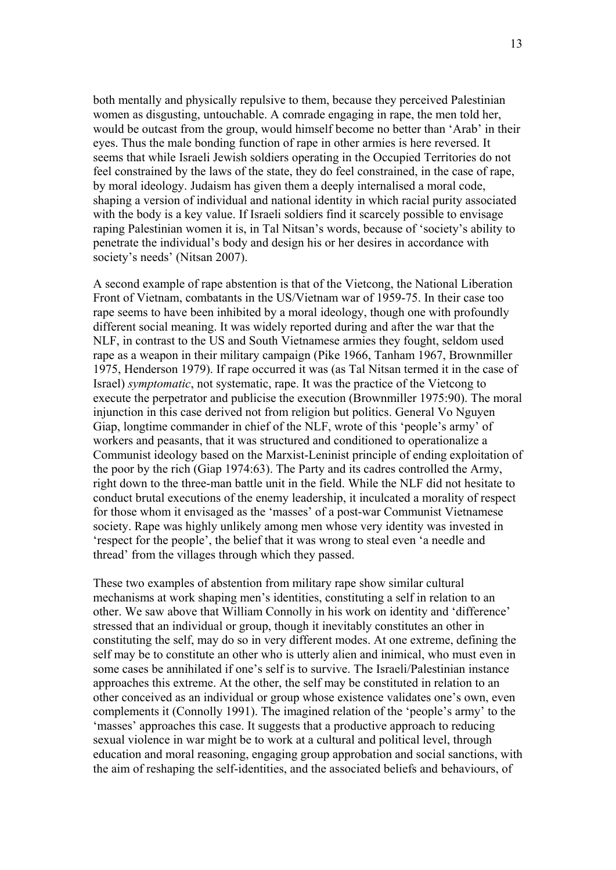both mentally and physically repulsive to them, because they perceived Palestinian women as disgusting, untouchable. A comrade engaging in rape, the men told her, would be outcast from the group, would himself become no better than 'Arab' in their eyes. Thus the male bonding function of rape in other armies is here reversed. It seems that while Israeli Jewish soldiers operating in the Occupied Territories do not feel constrained by the laws of the state, they do feel constrained, in the case of rape, by moral ideology. Judaism has given them a deeply internalised a moral code, shaping a version of individual and national identity in which racial purity associated with the body is a key value. If Israeli soldiers find it scarcely possible to envisage raping Palestinian women it is, in Tal Nitsan's words, because of 'society's ability to penetrate the individual's body and design his or her desires in accordance with society's needs' (Nitsan 2007).

A second example of rape abstention is that of the Vietcong, the National Liberation Front of Vietnam, combatants in the US/Vietnam war of 1959-75. In their case too rape seems to have been inhibited by a moral ideology, though one with profoundly different social meaning. It was widely reported during and after the war that the NLF, in contrast to the US and South Vietnamese armies they fought, seldom used rape as a weapon in their military campaign (Pike 1966, Tanham 1967, Brownmiller 1975, Henderson 1979). If rape occurred it was (as Tal Nitsan termed it in the case of Israel) *symptomatic*, not systematic, rape. It was the practice of the Vietcong to execute the perpetrator and publicise the execution (Brownmiller 1975:90). The moral injunction in this case derived not from religion but politics. General Vo Nguyen Giap, longtime commander in chief of the NLF, wrote of this 'people's army' of workers and peasants, that it was structured and conditioned to operationalize a Communist ideology based on the Marxist-Leninist principle of ending exploitation of the poor by the rich (Giap 1974:63). The Party and its cadres controlled the Army, right down to the three-man battle unit in the field. While the NLF did not hesitate to conduct brutal executions of the enemy leadership, it inculcated a morality of respect for those whom it envisaged as the 'masses' of a post-war Communist Vietnamese society. Rape was highly unlikely among men whose very identity was invested in 'respect for the people', the belief that it was wrong to steal even 'a needle and thread' from the villages through which they passed.

These two examples of abstention from military rape show similar cultural mechanisms at work shaping men's identities, constituting a self in relation to an other. We saw above that William Connolly in his work on identity and 'difference' stressed that an individual or group, though it inevitably constitutes an other in constituting the self, may do so in very different modes. At one extreme, defining the self may be to constitute an other who is utterly alien and inimical, who must even in some cases be annihilated if one's self is to survive. The Israeli/Palestinian instance approaches this extreme. At the other, the self may be constituted in relation to an other conceived as an individual or group whose existence validates one's own, even complements it (Connolly 1991). The imagined relation of the 'people's army' to the 'masses' approaches this case. It suggests that a productive approach to reducing sexual violence in war might be to work at a cultural and political level, through education and moral reasoning, engaging group approbation and social sanctions, with the aim of reshaping the self-identities, and the associated beliefs and behaviours, of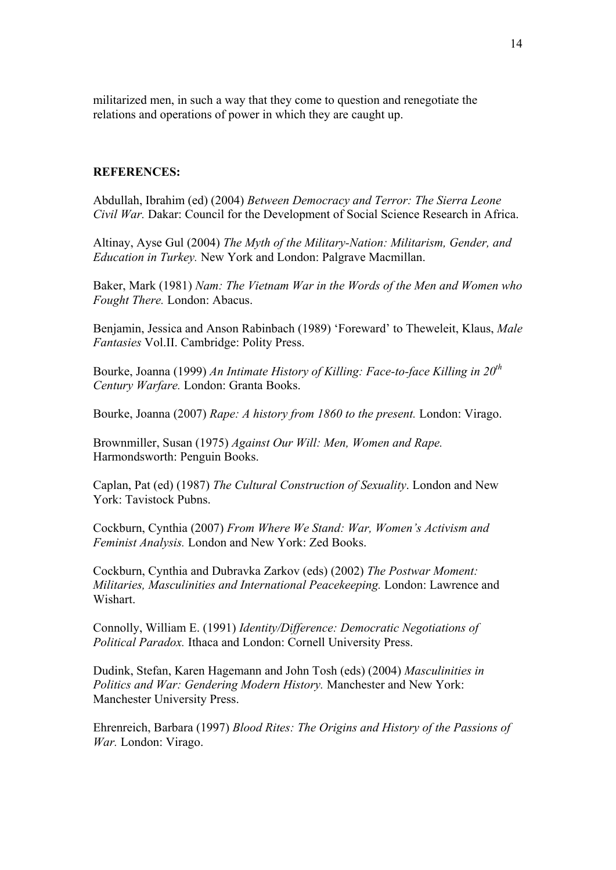militarized men, in such a way that they come to question and renegotiate the relations and operations of power in which they are caught up.

#### **REFERENCES:**

Abdullah, Ibrahim (ed) (2004) *Between Democracy and Terror: The Sierra Leone Civil War.* Dakar: Council for the Development of Social Science Research in Africa.

Altinay, Ayse Gul (2004) *The Myth of the Military-Nation: Militarism, Gender, and Education in Turkey.* New York and London: Palgrave Macmillan.

Baker, Mark (1981) *Nam: The Vietnam War in the Words of the Men and Women who Fought There.* London: Abacus.

Benjamin, Jessica and Anson Rabinbach (1989) 'Foreward' to Theweleit, Klaus, *Male Fantasies* Vol.II. Cambridge: Polity Press.

Bourke, Joanna (1999) *An Intimate History of Killing: Face-to-face Killing in 20th Century Warfare.* London: Granta Books.

Bourke, Joanna (2007) *Rape: A history from 1860 to the present.* London: Virago.

Brownmiller, Susan (1975) *Against Our Will: Men, Women and Rape.*  Harmondsworth: Penguin Books.

Caplan, Pat (ed) (1987) *The Cultural Construction of Sexuality*. London and New York: Tavistock Pubns.

Cockburn, Cynthia (2007) *From Where We Stand: War, Women's Activism and Feminist Analysis.* London and New York: Zed Books.

Cockburn, Cynthia and Dubravka Zarkov (eds) (2002) *The Postwar Moment: Militaries, Masculinities and International Peacekeeping.* London: Lawrence and Wishart.

Connolly, William E. (1991) *Identity/Difference: Democratic Negotiations of Political Paradox.* Ithaca and London: Cornell University Press.

Dudink, Stefan, Karen Hagemann and John Tosh (eds) (2004) *Masculinities in Politics and War: Gendering Modern History.* Manchester and New York: Manchester University Press.

Ehrenreich, Barbara (1997) *Blood Rites: The Origins and History of the Passions of War.* London: Virago.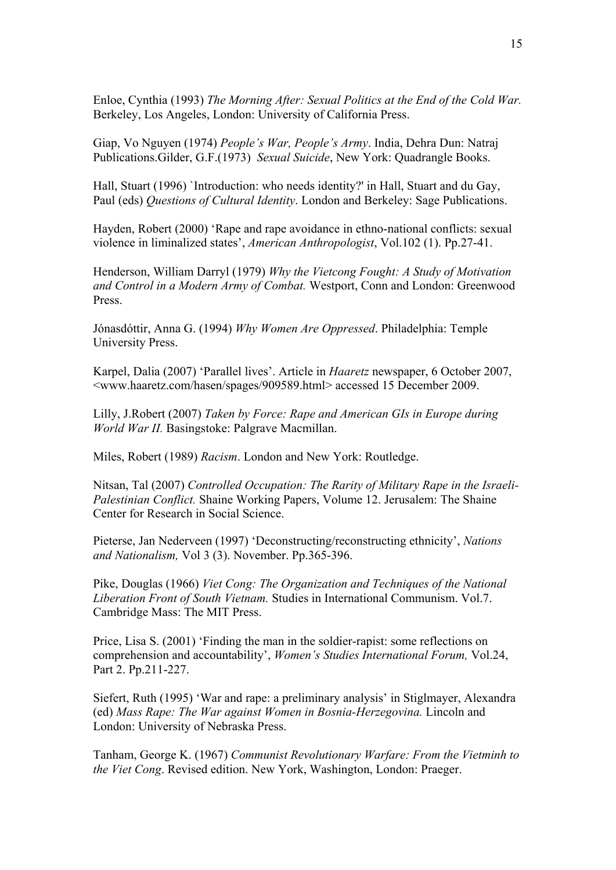Enloe, Cynthia (1993) *The Morning After: Sexual Politics at the End of the Cold War.*  Berkeley, Los Angeles, London: University of California Press.

Giap, Vo Nguyen (1974) *People's War, People's Army*. India, Dehra Dun: Natraj Publications.Gilder, G.F.(1973) *Sexual Suicide*, New York: Quadrangle Books.

Hall, Stuart (1996) `Introduction: who needs identity?' in Hall, Stuart and du Gay, Paul (eds) *Questions of Cultural Identity*. London and Berkeley: Sage Publications.

Hayden, Robert (2000) 'Rape and rape avoidance in ethno-national conflicts: sexual violence in liminalized states', *American Anthropologist*, Vol.102 (1). Pp.27-41.

Henderson, William Darryl (1979) *Why the Vietcong Fought: A Study of Motivation and Control in a Modern Army of Combat.* Westport, Conn and London: Greenwood Press.

Jónasdóttir, Anna G. (1994) *Why Women Are Oppressed*. Philadelphia: Temple University Press.

Karpel, Dalia (2007) 'Parallel lives'. Article in *Haaretz* newspaper, 6 October 2007, <www.haaretz.com/hasen/spages/909589.html> accessed 15 December 2009.

Lilly, J.Robert (2007) *Taken by Force: Rape and American GIs in Europe during World War II.* Basingstoke: Palgrave Macmillan.

Miles, Robert (1989) *Racism*. London and New York: Routledge.

Nitsan, Tal (2007) *Controlled Occupation: The Rarity of Military Rape in the Israeli-Palestinian Conflict.* Shaine Working Papers, Volume 12. Jerusalem: The Shaine Center for Research in Social Science.

Pieterse, Jan Nederveen (1997) 'Deconstructing/reconstructing ethnicity', *Nations and Nationalism,* Vol 3 (3). November. Pp.365-396.

Pike, Douglas (1966) *Viet Cong: The Organization and Techniques of the National Liberation Front of South Vietnam.* Studies in International Communism. Vol.7. Cambridge Mass: The MIT Press.

Price, Lisa S. (2001) 'Finding the man in the soldier-rapist: some reflections on comprehension and accountability', *Women's Studies International Forum,* Vol.24, Part 2. Pp.211-227.

Siefert, Ruth (1995) 'War and rape: a preliminary analysis' in Stiglmayer, Alexandra (ed) *Mass Rape: The War against Women in Bosnia-Herzegovina.* Lincoln and London: University of Nebraska Press.

Tanham, George K. (1967) *Communist Revolutionary Warfare: From the Vietminh to the Viet Cong*. Revised edition. New York, Washington, London: Praeger.